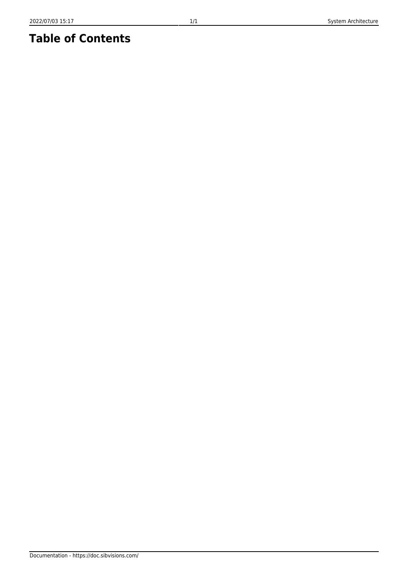## **Table of Contents**